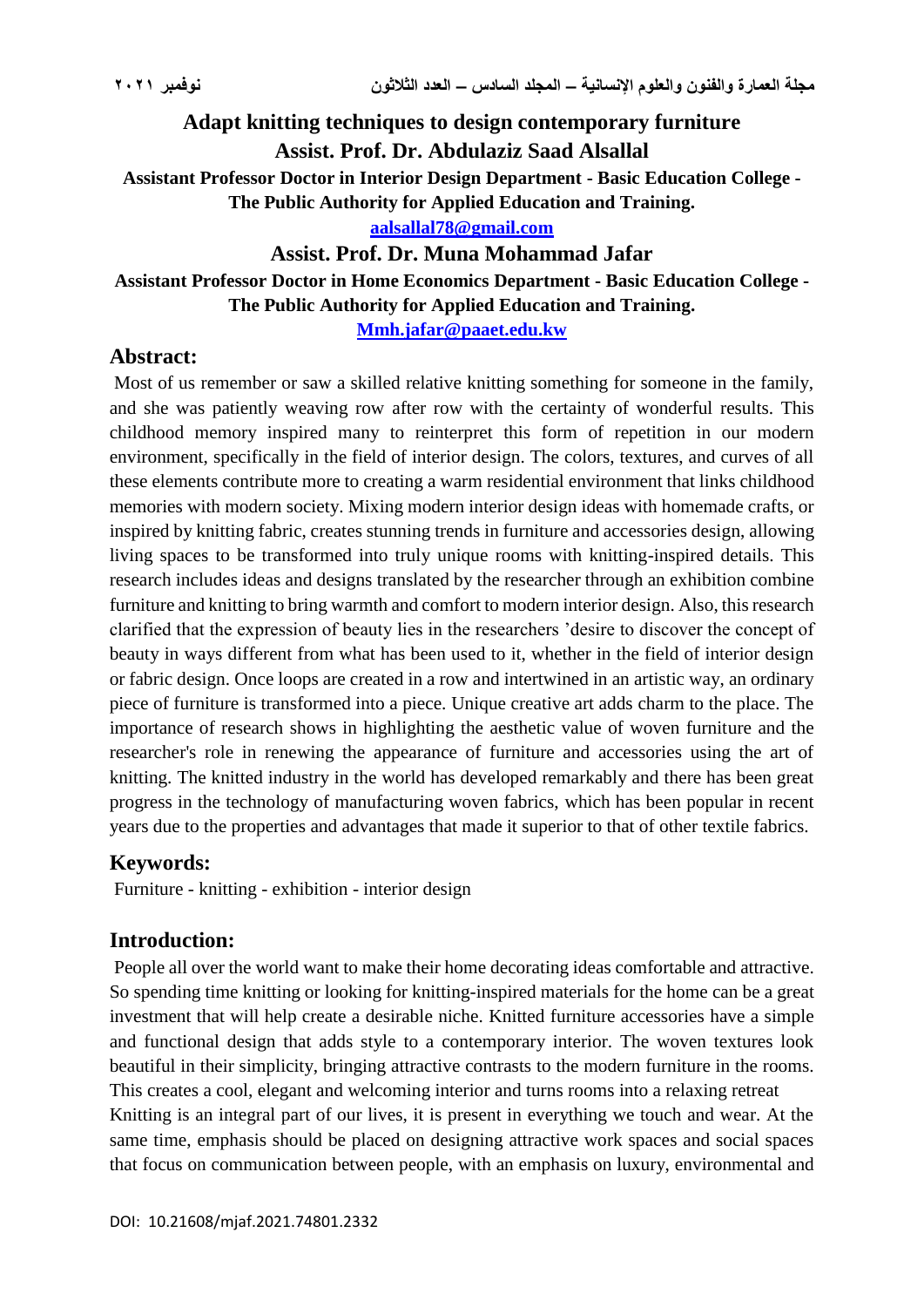# **Adapt knitting techniques to design contemporary furniture Assist. Prof. Dr. Abdulaziz Saad Alsallal**

**Assistant Professor Doctor in Interior Design Department - Basic Education College -**

**The Public Authority for Applied Education and Training.**

**[aalsallal78@gmail.com](mailto:aalsallal78@gmail.com)**

**Assist. Prof. Dr. Muna Mohammad Jafar**

### **Assistant Professor Doctor in Home Economics Department - Basic Education College - The Public Authority for Applied Education and Training.**

**[Mmh.jafar@paaet.edu.kw](mailto:Mmh.jafar@paaet.edu.kw)**

### **Abstract:**

Most of us remember or saw a skilled relative knitting something for someone in the family, and she was patiently weaving row after row with the certainty of wonderful results. This childhood memory inspired many to reinterpret this form of repetition in our modern environment, specifically in the field of interior design. The colors, textures, and curves of all these elements contribute more to creating a warm residential environment that links childhood memories with modern society. Mixing modern interior design ideas with homemade crafts, or inspired by knitting fabric, creates stunning trends in furniture and accessories design, allowing living spaces to be transformed into truly unique rooms with knitting-inspired details. This research includes ideas and designs translated by the researcher through an exhibition combine furniture and knitting to bring warmth and comfort to modern interior design. Also, this research clarified that the expression of beauty lies in the researchers 'desire to discover the concept of beauty in ways different from what has been used to it, whether in the field of interior design or fabric design. Once loops are created in a row and intertwined in an artistic way, an ordinary piece of furniture is transformed into a piece. Unique creative art adds charm to the place. The importance of research shows in highlighting the aesthetic value of woven furniture and the researcher's role in renewing the appearance of furniture and accessories using the art of knitting. The knitted industry in the world has developed remarkably and there has been great progress in the technology of manufacturing woven fabrics, which has been popular in recent years due to the properties and advantages that made it superior to that of other textile fabrics.

# **Keywords:**

Furniture - knitting - exhibition - interior design

# **Introduction:**

People all over the world want to make their home decorating ideas comfortable and attractive. So spending time knitting or looking for knitting-inspired materials for the home can be a great investment that will help create a desirable niche. Knitted furniture accessories have a simple and functional design that adds style to a contemporary interior. The woven textures look beautiful in their simplicity, bringing attractive contrasts to the modern furniture in the rooms. This creates a cool, elegant and welcoming interior and turns rooms into a relaxing retreat Knitting is an integral part of our lives, it is present in everything we touch and wear. At the same time, emphasis should be placed on designing attractive work spaces and social spaces that focus on communication between people, with an emphasis on luxury, environmental and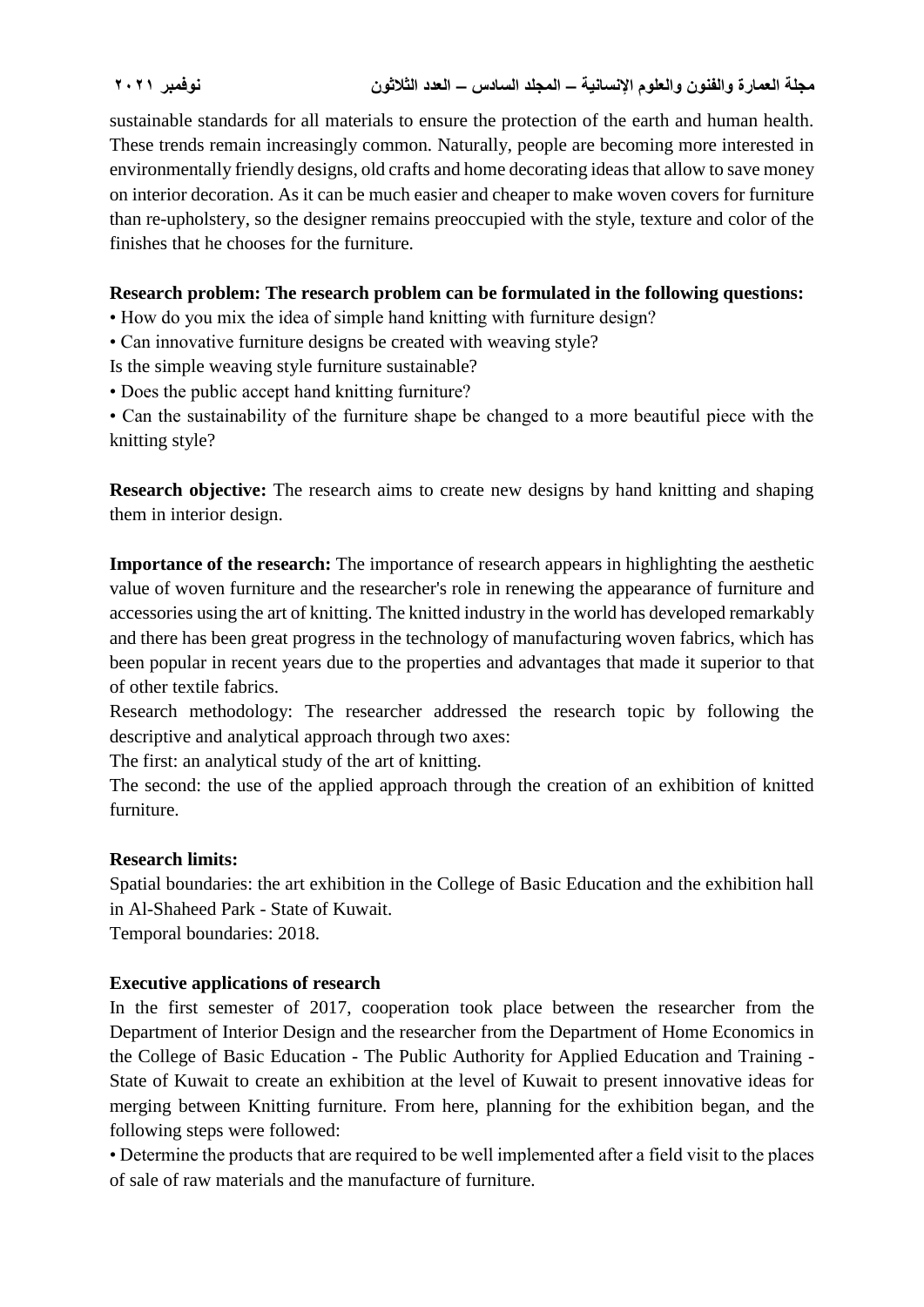sustainable standards for all materials to ensure the protection of the earth and human health. These trends remain increasingly common. Naturally, people are becoming more interested in environmentally friendly designs, old crafts and home decorating ideas that allow to save money on interior decoration. As it can be much easier and cheaper to make woven covers for furniture than re-upholstery, so the designer remains preoccupied with the style, texture and color of the finishes that he chooses for the furniture.

#### **Research problem: The research problem can be formulated in the following questions:**

- How do you mix the idea of simple hand knitting with furniture design?
- Can innovative furniture designs be created with weaving style?

Is the simple weaving style furniture sustainable?

• Does the public accept hand knitting furniture?

• Can the sustainability of the furniture shape be changed to a more beautiful piece with the knitting style?

**Research objective:** The research aims to create new designs by hand knitting and shaping them in interior design.

**Importance of the research:** The importance of research appears in highlighting the aesthetic value of woven furniture and the researcher's role in renewing the appearance of furniture and accessories using the art of knitting. The knitted industry in the world has developed remarkably and there has been great progress in the technology of manufacturing woven fabrics, which has been popular in recent years due to the properties and advantages that made it superior to that of other textile fabrics.

Research methodology: The researcher addressed the research topic by following the descriptive and analytical approach through two axes:

The first: an analytical study of the art of knitting.

The second: the use of the applied approach through the creation of an exhibition of knitted furniture.

#### **Research limits:**

Spatial boundaries: the art exhibition in the College of Basic Education and the exhibition hall in Al-Shaheed Park - State of Kuwait. Temporal boundaries: 2018.

#### **Executive applications of research**

In the first semester of 2017, cooperation took place between the researcher from the Department of Interior Design and the researcher from the Department of Home Economics in the College of Basic Education - The Public Authority for Applied Education and Training - State of Kuwait to create an exhibition at the level of Kuwait to present innovative ideas for merging between Knitting furniture. From here, planning for the exhibition began, and the following steps were followed:

• Determine the products that are required to be well implemented after a field visit to the places of sale of raw materials and the manufacture of furniture.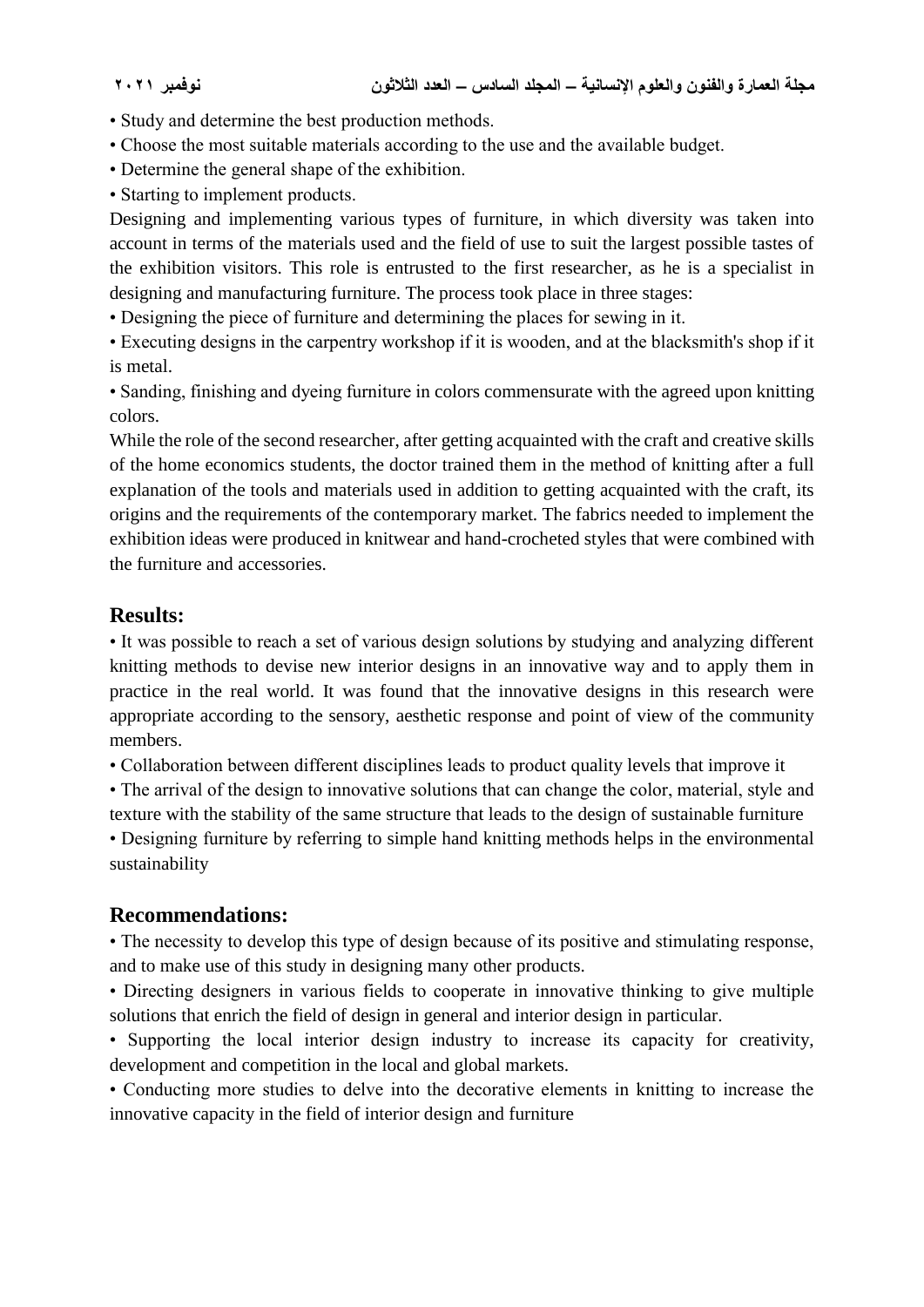- Study and determine the best production methods.
- Choose the most suitable materials according to the use and the available budget.
- Determine the general shape of the exhibition.
- Starting to implement products.

Designing and implementing various types of furniture, in which diversity was taken into account in terms of the materials used and the field of use to suit the largest possible tastes of the exhibition visitors. This role is entrusted to the first researcher, as he is a specialist in designing and manufacturing furniture. The process took place in three stages:

• Designing the piece of furniture and determining the places for sewing in it.

• Executing designs in the carpentry workshop if it is wooden, and at the blacksmith's shop if it is metal.

• Sanding, finishing and dyeing furniture in colors commensurate with the agreed upon knitting colors.

While the role of the second researcher, after getting acquainted with the craft and creative skills of the home economics students, the doctor trained them in the method of knitting after a full explanation of the tools and materials used in addition to getting acquainted with the craft, its origins and the requirements of the contemporary market. The fabrics needed to implement the exhibition ideas were produced in knitwear and hand-crocheted styles that were combined with the furniture and accessories.

### **Results:**

• It was possible to reach a set of various design solutions by studying and analyzing different knitting methods to devise new interior designs in an innovative way and to apply them in practice in the real world. It was found that the innovative designs in this research were appropriate according to the sensory, aesthetic response and point of view of the community members.

• Collaboration between different disciplines leads to product quality levels that improve it

• The arrival of the design to innovative solutions that can change the color, material, style and

texture with the stability of the same structure that leads to the design of sustainable furniture • Designing furniture by referring to simple hand knitting methods helps in the environmental sustainability

### **Recommendations:**

• The necessity to develop this type of design because of its positive and stimulating response, and to make use of this study in designing many other products.

• Directing designers in various fields to cooperate in innovative thinking to give multiple solutions that enrich the field of design in general and interior design in particular.

• Supporting the local interior design industry to increase its capacity for creativity, development and competition in the local and global markets.

• Conducting more studies to delve into the decorative elements in knitting to increase the innovative capacity in the field of interior design and furniture